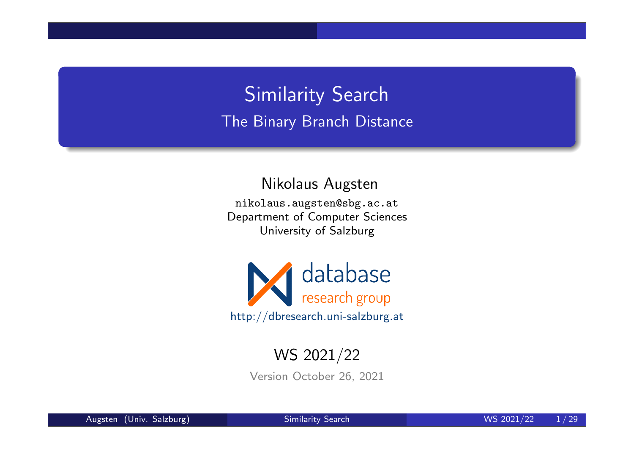## Similarity Search The Binary Branch Distance

Nikolaus Augsten

nikolaus.augsten@sbg.ac.at Department of Computer Sciences University of Salzburg



### WS 2021/22

Version October 26, 2021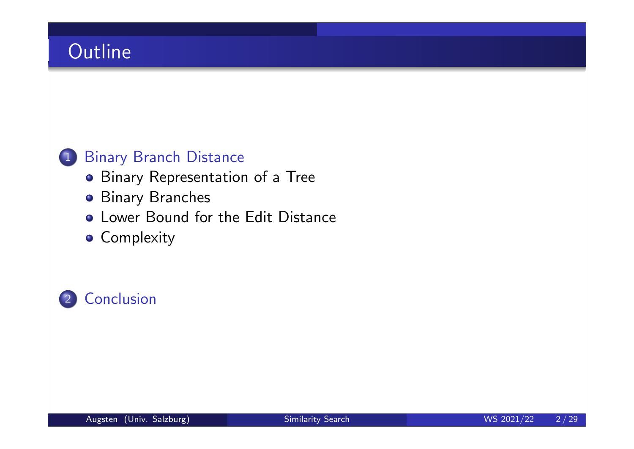### 1 Binary Branch Distance

- **•** Binary Representation of a Tree
- **•** Binary Branches
- **Lower Bound for the Edit Distance**
- **Complexity**

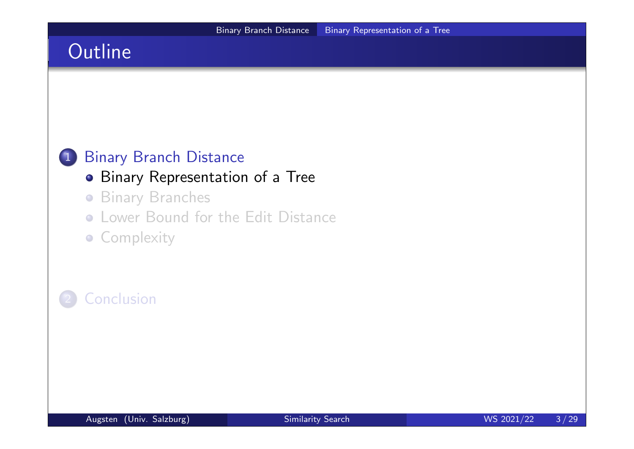### 1 Binary Branch Distance

#### **• Binary Representation of a Tree**

- **Binary Branches**
- Lower Bound for the Edit Distance
- **Complexity**

### **Conclusion**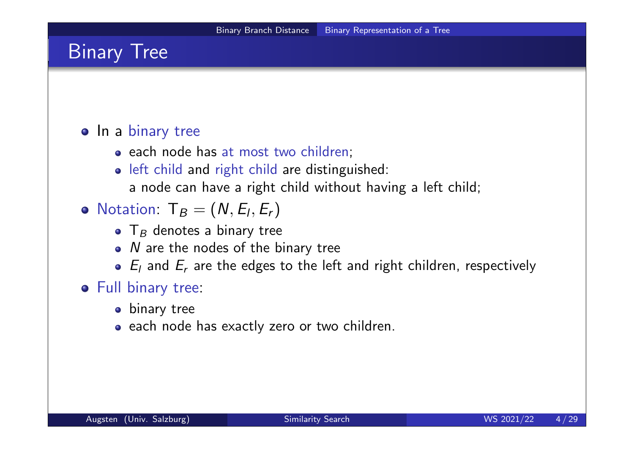### Binary Tree

#### o In a binary tree

- each node has at most two children;
- o left child and right child are distinguished:
	- a node can have a right child without having a left child;
- Notation:  $T_B = (N, E_I, E_r)$ 
	- ${\sf T}_B$  denotes a binary tree
	- N are the nodes of the binary tree
	- $E_l$  and  $E_r$  are the edges to the left and right children, respectively

#### Full binary tree:

- **•** binary tree
- each node has exactly zero or two children.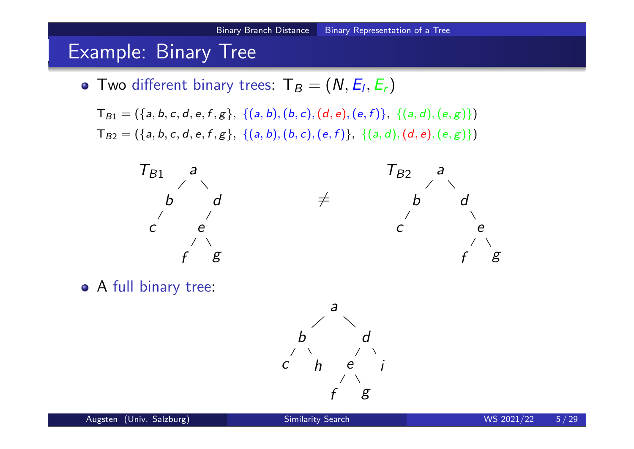### Example: Binary Tree

Two different binary trees:  $\mathsf{T}_B = (N, E_I, E_r)$ 

 $T_{B1} = (\{a, b, c, d, e, f, g\}, \{(a, b), (b, c), (d, e), (e, f)\}, \{(a, d), (e, g)\})$  $T_{B2} = (\{a, b, c, d, e, f, g\}, \{(a, b), (b, c), (e, f)\}, \{(a, d), (d, e), (e, g)\})$ 



A full binary tree:

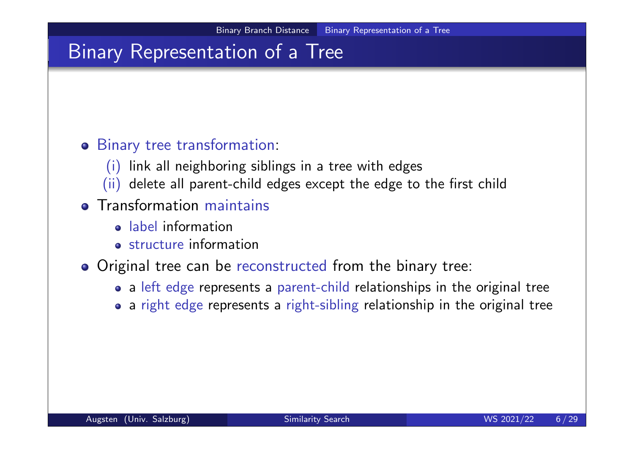## Binary Representation of a Tree

#### Binary tree transformation:

- (i) link all neighboring siblings in a tree with edges
- (ii) delete all parent-child edges except the edge to the first child

### **o** Transformation maintains

- label information
- structure information
- o Original tree can be reconstructed from the binary tree:
	- a left edge represents a parent-child relationships in the original tree
	- a right edge represents a right-sibling relationship in the original tree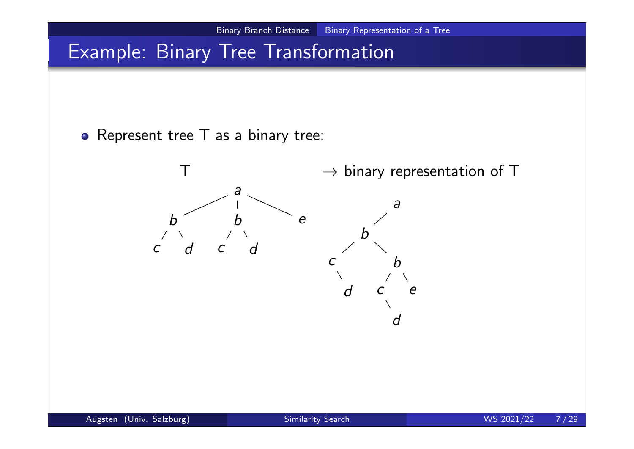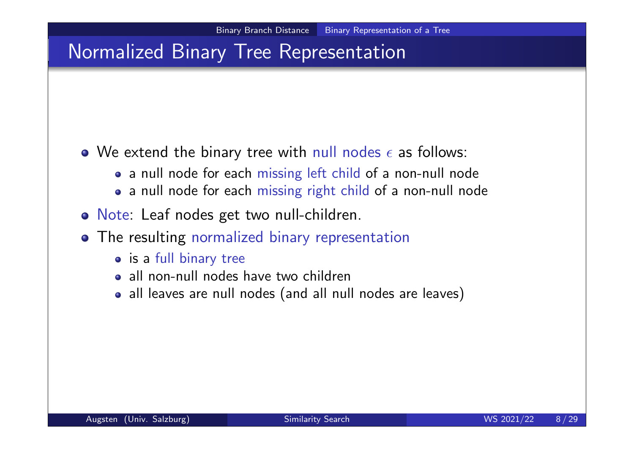### Normalized Binary Tree Representation

- We extend the binary tree with null nodes  $\epsilon$  as follows:
	- a null node for each missing left child of a non-null node
	- a null node for each missing right child of a non-null node
- Note: Leaf nodes get two null-children.
- The resulting normalized binary representation
	- is a full binary tree
	- a all non-null nodes have two children
	- all leaves are null nodes (and all null nodes are leaves)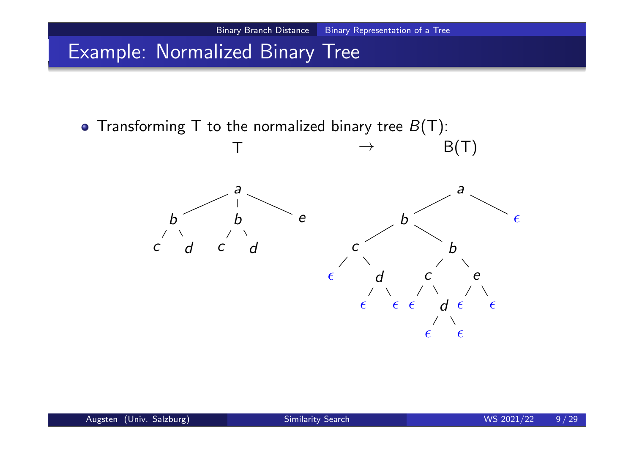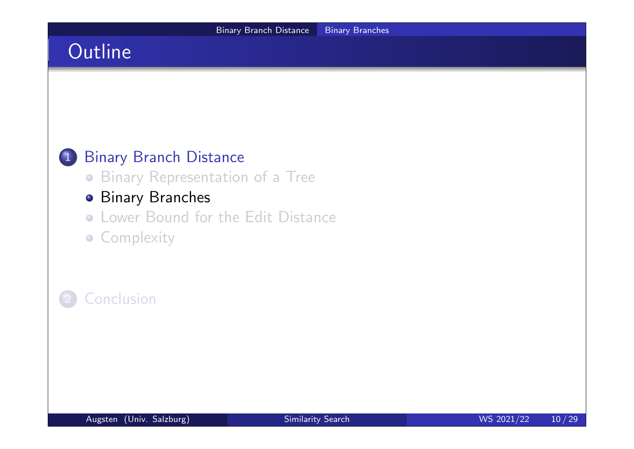### 1 Binary Branch Distance

Binary Representation of a Tree

### **• Binary Branches**

- Lower Bound for the Edit Distance
- **Complexity**

### **Conclusion**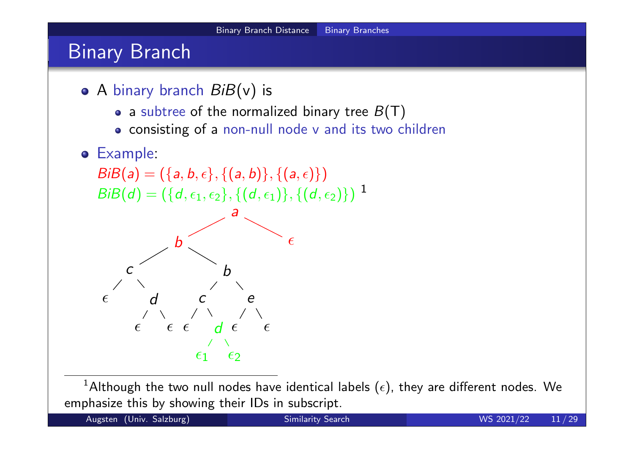## Binary Branch

- $\bullet$  A binary branch  $BiB(v)$  is
	- a subtree of the normalized binary tree  $B(T)$
	- consisting of a non-null node v and its two children

#### Example:

 $BiB(a) = (\{a, b, \epsilon\}, \{(a, b)\}, \{(a, \epsilon)\})$  $BiB(d) = (\{d, \epsilon_1, \epsilon_2\}, \{(d, \epsilon_1)\}, \{(d, \epsilon_2)\})$ <sup>1</sup>



 $^1$ Although the two null nodes have identical labels  $(\epsilon)$ , they are different nodes. We emphasize this by showing their IDs in subscript.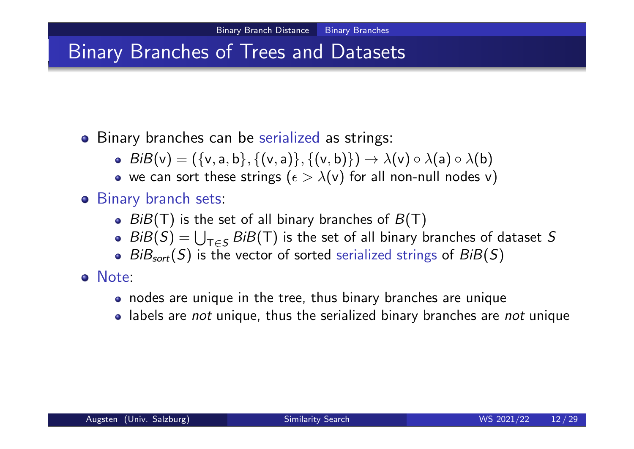## Binary Branches of Trees and Datasets

#### **•** Binary branches can be serialized as strings:

- $BiB(v) = (\{v, a, b\}, \{(v, a)\}, \{(v, b)\}) \rightarrow \lambda(v) \circ \lambda(a) \circ \lambda(b)$
- we can sort these strings ( $\epsilon > \lambda(v)$  for all non-null nodes v)

### Binary branch sets:

- $BiB(T)$  is the set of all binary branches of  $B(T)$
- $BiB(S) = \bigcup$  $\mathsf{T} {\in} \mathsf{S}$  $BiB(T)$  is the set of all binary branches of dataset S
- $BiB_{sort}(S)$  is the vector of sorted serialized strings of  $BiB(S)$

#### Note:

- nodes are unique in the tree, thus binary branches are unique
- labels are *not* unique, thus the serialized binary branches are *not* unique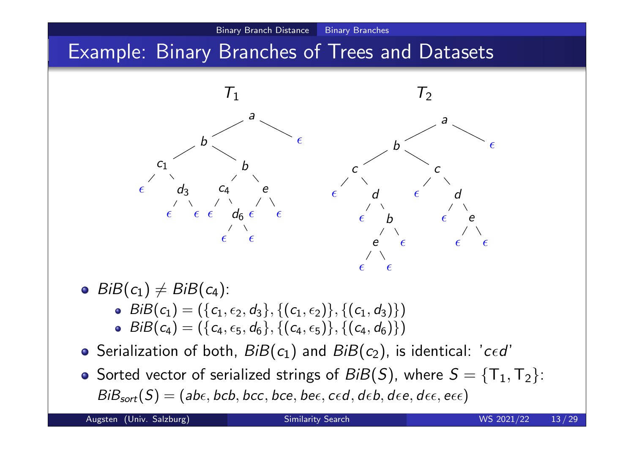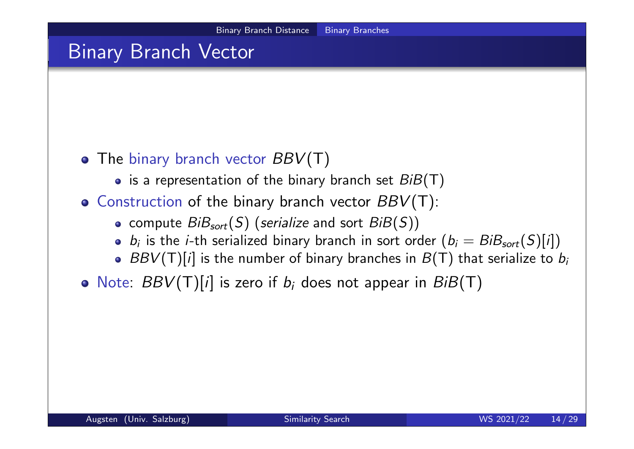### Binary Branch Vector

### • The binary branch vector  $BBV(T)$

- is a representation of the binary branch set  $BiB(T)$
- $\bullet$  Construction of the binary branch vector  $BBV(T)$ :
	- compute  $BiB<sub>sort</sub>(S)$  (serialize and sort  $BiB(S)$ )
	- $b_i$  is the *i*-th serialized binary branch in sort order  $(b_i=BiB_{sort}(S)[i])$
	- $BBV(T)[i]$  is the number of binary branches in  $B(T)$  that serialize to  $b_i$
- Note:  $BBV(T)[i]$  is zero if  $b_i$  does not appear in  $BiB(T)$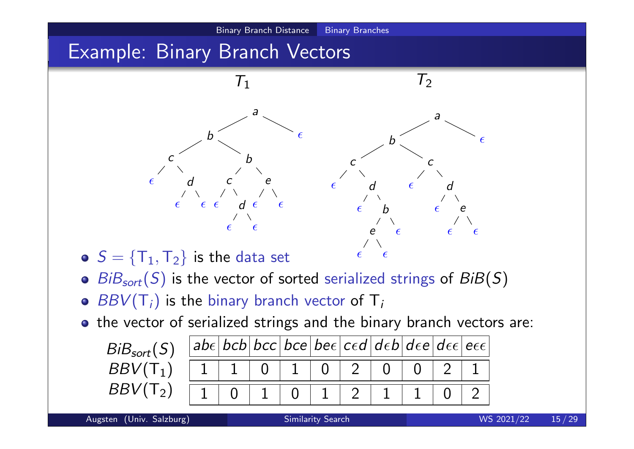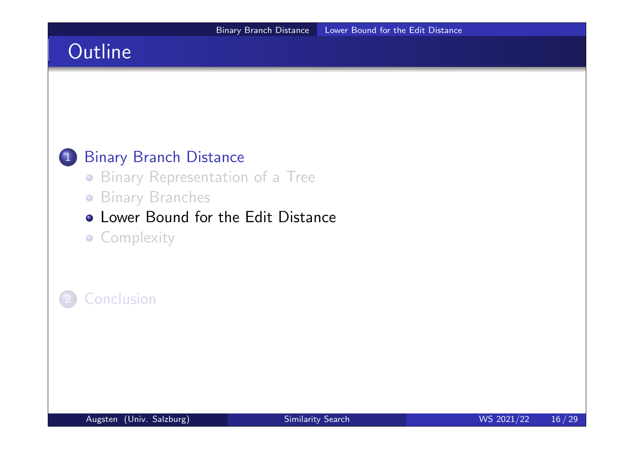### 1 Binary Branch Distance

- Binary Representation of a Tree
- **Binary Branches**

### **• Lower Bound for the Edit Distance**

**• Complexity** 

### **Conclusion**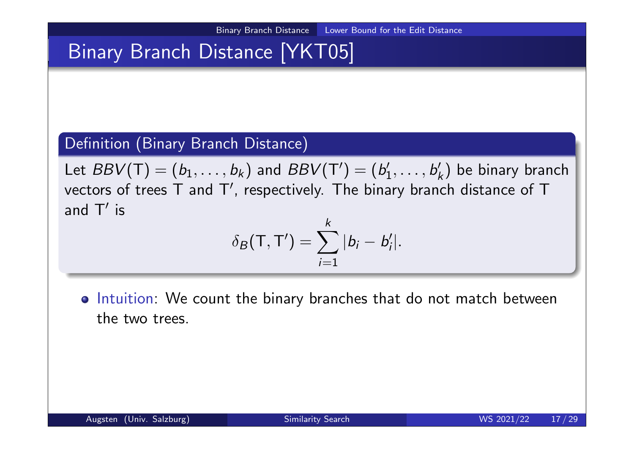## Binary Branch Distance [YKT05]

#### Definition (Binary Branch Distance)

Let  $BBV(\mathsf{T})=(b_1,\ldots,b_k)$  and  $BBV(\mathsf{T}')=(b_1')$  $b'_1,\ldots,b'_k$  $k \choose k$  be binary branch vectors of trees  $\sf{T}$  and  $\sf{T}'$ , respectively. The binary branch distance of  $\sf{T}$ and  $T'$  is

$$
\delta_B(\mathsf{T},\mathsf{T}')=\sum_{i=1}^k|b_i-b'_i|.
$$

o Intuition: We count the binary branches that do not match between the two trees.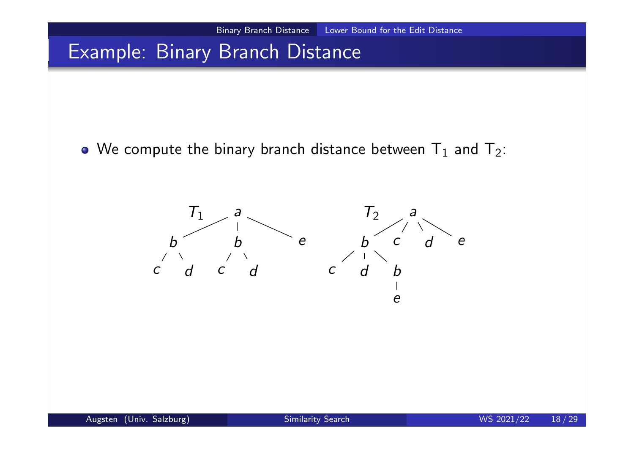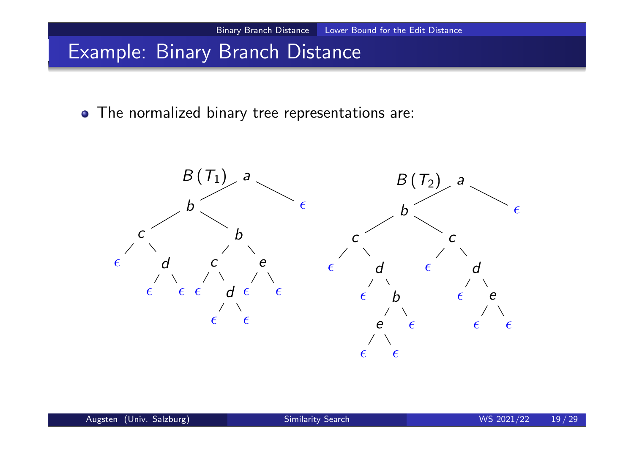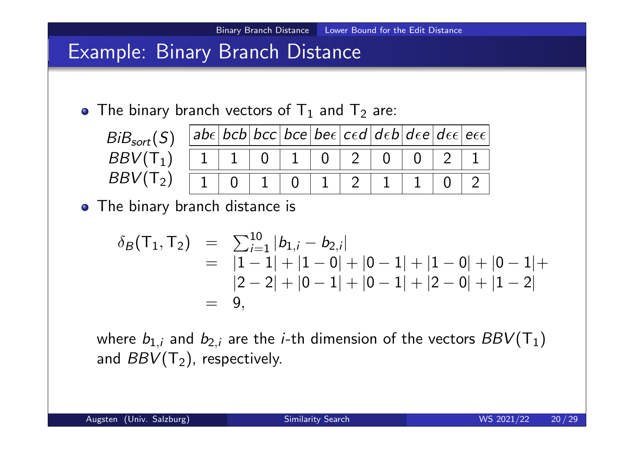

$$
\delta_B(\mathsf{T}_1, \mathsf{T}_2) = \sum_{i=1}^{10} |b_{1,i} - b_{2,i}|
$$
  
=  $|1 - 1| + |1 - 0| + |0 - 1| + |1 - 0| + |0 - 1| +$   
 $|2 - 2| + |0 - 1| + |0 - 1| + |2 - 0| + |1 - 2|$   
= 9,

where  $b_{1,i}$  and  $b_{2,i}$  are the *i-*th dimension of the vectors  $BBV(\mathsf{T}_1)$ and  $BBV(T_2)$ , respectively.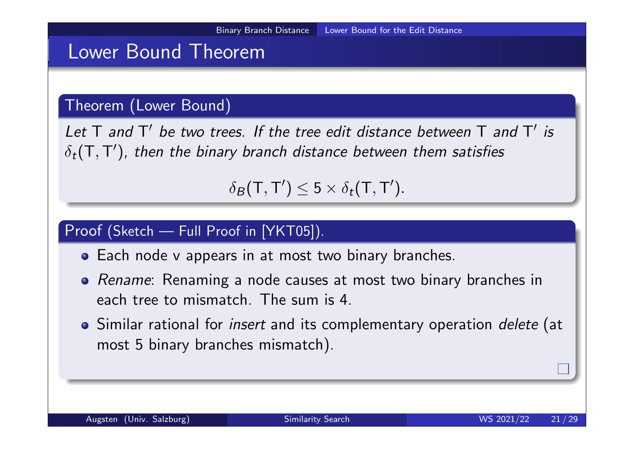### Lower Bound Theorem

#### Theorem (Lower Bound)

Let  $T$  and  $T'$  be two trees. If the tree edit distance between  $T$  and  $T'$  is  $\delta_t(\mathsf{T},\mathsf{T}')$ , then the binary branch distance between them satisfies

 $\delta_B(\mathsf{T},\mathsf{T}')\leq 5\times \delta_t(\mathsf{T},\mathsf{T}').$ 

#### Proof (Sketch — Full Proof in [YKT05]).

- Each node v appears in at most two binary branches.
- Rename: Renaming a node causes at most two binary branches in each tree to mismatch. The sum is 4.
- Similar rational for *insert* and its complementary operation *delete* (at most 5 binary branches mismatch).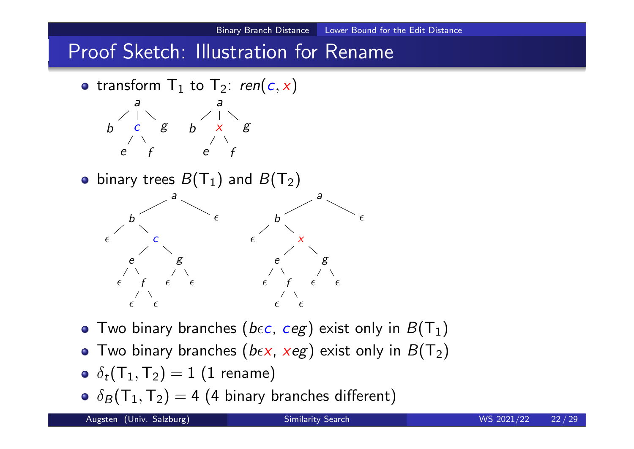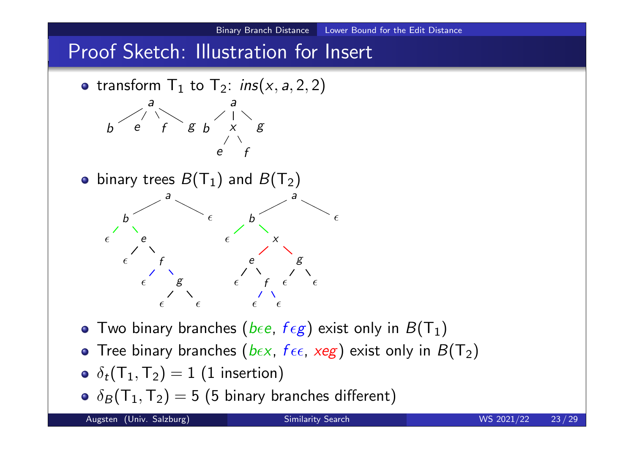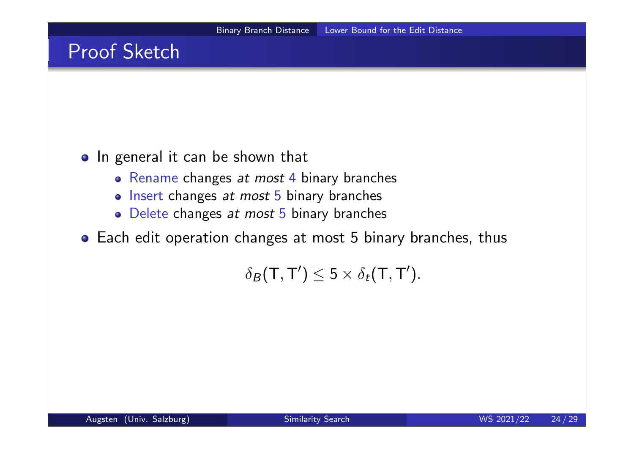## Proof Sketch

#### o In general it can be shown that

- Rename changes at most 4 binary branches
- Insert changes at most 5 binary branches
- Delete changes at most 5 binary branches
- Each edit operation changes at most 5 binary branches, thus

 $\delta_B(\mathsf{T},\mathsf{T}')\leq 5\times \delta_t(\mathsf{T},\mathsf{T}').$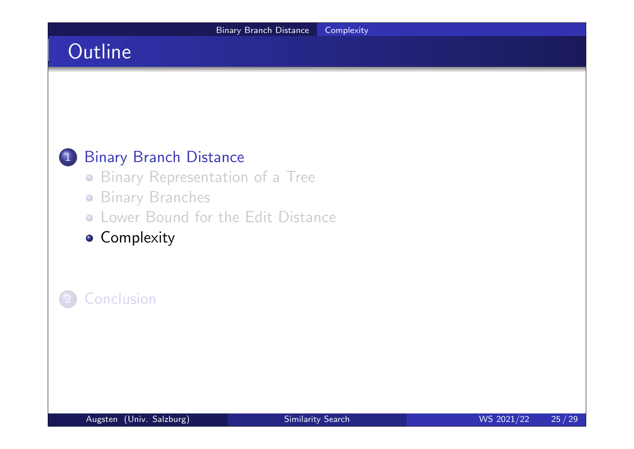### 1 Binary Branch Distance

- Binary Representation of a Tree
- **Binary Branches**
- Lower Bound for the Edit Distance
- **Complexity**

### **Conclusion**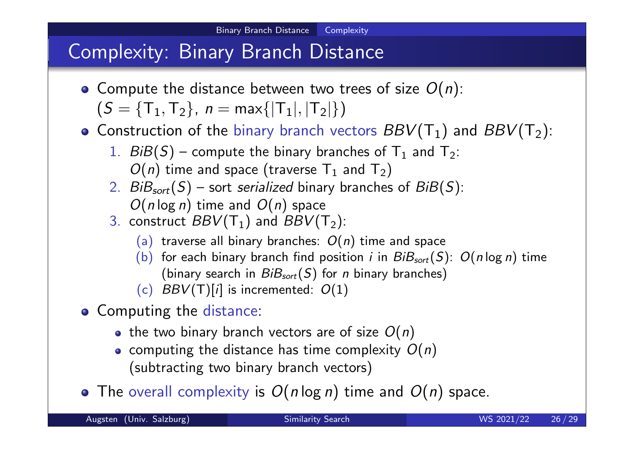## Complexity: Binary Branch Distance

- Compute the distance between two trees of size  $O(n)$ :  $(S = {T<sub>1</sub>, T<sub>2</sub>}, n = max{ |T<sub>1</sub>|, |T<sub>2</sub>| } )$
- Construction of the binary branch vectors  $BBV(T_1)$  and  $BBV(T_2)$ :
	- 1.  $B\ddot{B}(S)$  compute the binary branches of  $T_1$  and  $T_2$ :  $O(n)$  time and space (traverse  $\mathsf{T}_1$  and  $\mathsf{T}_2)$
	- 2.  $BiB<sub>sort</sub>(S)$  sort serialized binary branches of  $BiB(S)$ :  $O(n \log n)$  time and  $O(n)$  space
	- 3. construct  $BBV(T_1)$  and  $BBV(T_2)$ :
		- (a) traverse all binary branches:  $O(n)$  time and space
		- (b) for each binary branch find position *i* in  $B_iB_{sort}(S)$ :  $O(n \log n)$  time (binary search in  $BiB<sub>sort</sub>(S)$  for *n* binary branches)
		- (c)  $BBV(T)[i]$  is incremented:  $O(1)$
- Computing the distance:
	- the two binary branch vectors are of size  $O(n)$
	- computing the distance has time complexity  $O(n)$ (subtracting two binary branch vectors)
- The overall complexity is  $O(n \log n)$  time and  $O(n)$  space.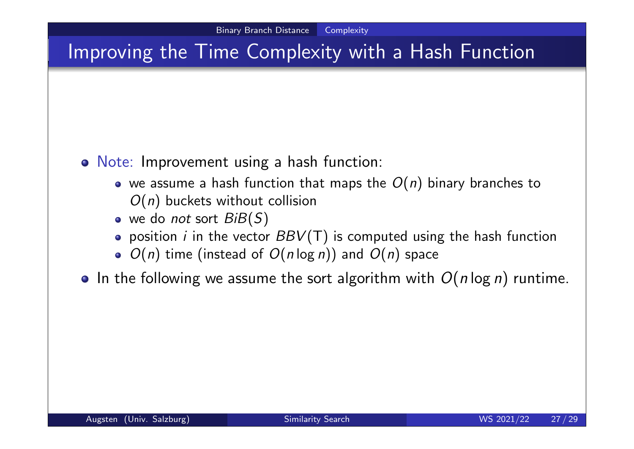## Improving the Time Complexity with a Hash Function

- Note: Improvement using a hash function:
	- we assume a hash function that maps the  $O(n)$  binary branches to  $O(n)$  buckets without collision
	- $\bullet$  we do not sort  $BiB(S)$
	- $\bullet$  position *i* in the vector  $BBV(T)$  is computed using the hash function
	- $\bullet$   $O(n)$  time (instead of  $O(n \log n)$ ) and  $O(n)$  space
- In the following we assume the sort algorithm with  $O(n \log n)$  runtime.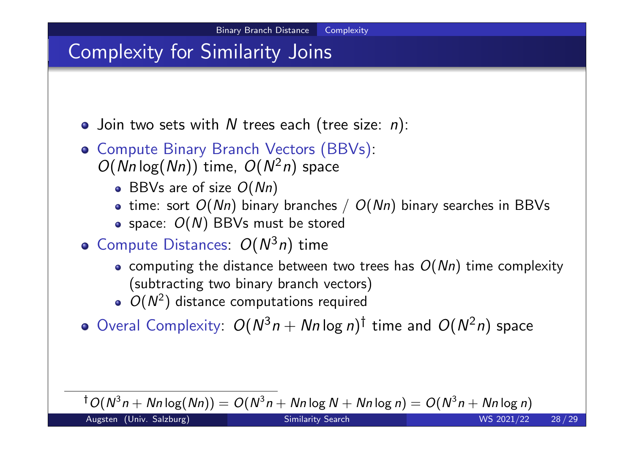## Complexity for Similarity Joins

- $\bullet$  Join two sets with N trees each (tree size: n):
- **o** Compute Binary Branch Vectors (BBVs):  $O(Nn \log(Nn))$  time,  $O(N^2n)$  space
	- BBVs are of size  $O(Nn)$
	- time: sort  $O(Nn)$  binary branches /  $O(Nn)$  binary searches in BBVs
	- $\bullet$  space:  $O(N)$  BBVs must be stored
- Compute Distances:  $O(N^3 n)$  time
	- computing the distance between two trees has  $O(Nn)$  time complexity (subtracting two binary branch vectors)
	- $O(N^2)$  distance computations required
- Overal Complexity:  $O(N^3n + Nn \log n)^{\dagger}$  time and  $O(N^2n)$  space

 $^\dagger$ O $(N^3n +$   $Nn\log(Nn)) =$  O $(N^3n +$   $Nn\log N +$   $Nn\log n) =$  O $(N^3n +$   $Nn\log n)$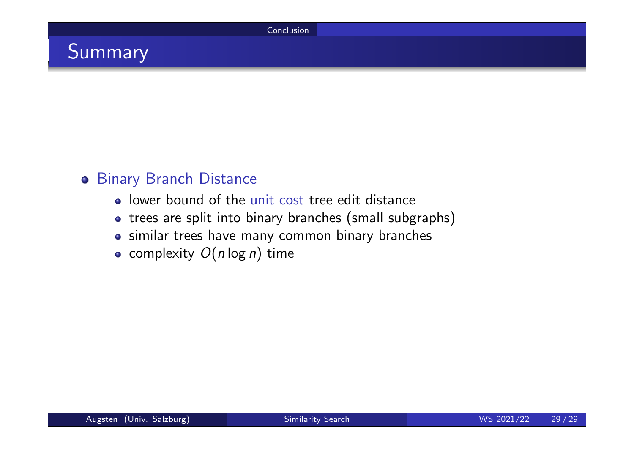## Summary

#### Binary Branch Distance

- lower bound of the unit cost tree edit distance
- trees are split into binary branches (small subgraphs)
- similar trees have many common binary branches
- complexity  $O(n \log n)$  time